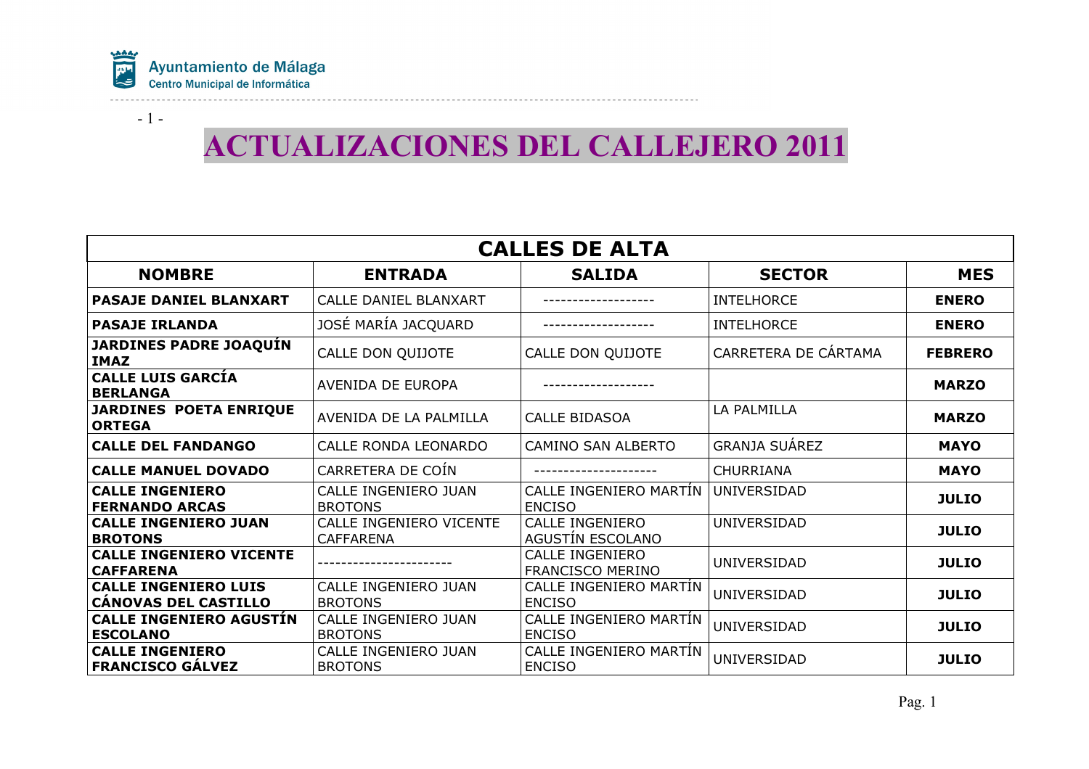

 $-1 -$ 

## ACTUALIZACIONES DEL CALLEJERO 2011

| <b>CALLES DE ALTA</b>                                      |                                                  |                                            |                             |              |  |  |  |
|------------------------------------------------------------|--------------------------------------------------|--------------------------------------------|-----------------------------|--------------|--|--|--|
| <b>NOMBRE</b>                                              | <b>SECTOR</b><br><b>ENTRADA</b><br><b>SALIDA</b> |                                            |                             |              |  |  |  |
| <b>PASAJE DANIEL BLANXART</b>                              | CALLE DANIEL BLANXART                            |                                            | <b>INTELHORCE</b>           | <b>ENERO</b> |  |  |  |
| <b>PASAJE IRLANDA</b>                                      | JOSÉ MARÍA JACQUARD                              |                                            | <b>INTELHORCE</b>           | <b>ENERO</b> |  |  |  |
| <b>JARDINES PADRE JOAQUÍN</b><br><b>IMAZ</b>               | CALLE DON QUIJOTE                                | CALLE DON QUIJOTE                          | CARRETERA DE CÁRTAMA        |              |  |  |  |
| <b>CALLE LUIS GARCÍA</b><br><b>BERLANGA</b>                | <b>AVENIDA DE EUROPA</b>                         |                                            |                             | <b>MARZO</b> |  |  |  |
| <b>JARDINES POETA ENRIQUE</b><br><b>ORTEGA</b>             | AVENIDA DE LA PALMILLA                           | <b>CALLE BIDASOA</b>                       | LA PALMILLA                 |              |  |  |  |
| <b>CALLE DEL FANDANGO</b>                                  | CALLE RONDA LEONARDO                             | <b>CAMINO SAN ALBERTO</b>                  | <b>GRANJA SUÁREZ</b>        | <b>MAYO</b>  |  |  |  |
| <b>CALLE MANUEL DOVADO</b>                                 | CARRETERA DE COÍN                                |                                            | CHURRIANA                   | <b>MAYO</b>  |  |  |  |
| <b>CALLE INGENIERO</b><br><b>FERNANDO ARCAS</b>            | CALLE INGENIERO JUAN<br><b>BROTONS</b>           | CALLE INGENIERO MARTÍN<br><b>ENCISO</b>    | UNIVERSIDAD                 | <b>JULIO</b> |  |  |  |
| <b>CALLE INGENIERO JUAN</b><br><b>BROTONS</b>              | CALLE INGENIERO VICENTE<br><b>CAFFARENA</b>      | <b>CALLE INGENIERO</b><br>AGUSTÍN ESCOLANO | UNIVERSIDAD                 | <b>JULIO</b> |  |  |  |
| <b>CALLE INGENIERO VICENTE</b><br><b>CAFFARENA</b>         |                                                  | <b>CALLE INGENIERO</b><br>FRANCISCO MERINO | UNIVERSIDAD                 | <b>JULIO</b> |  |  |  |
| <b>CALLE INGENIERO LUIS</b><br><b>CÁNOVAS DEL CASTILLO</b> | CALLE INGENIERO JUAN<br><b>BROTONS</b>           | CALLE INGENIERO MARTÍN<br><b>ENCISO</b>    | UNIVERSIDAD                 | <b>JULIO</b> |  |  |  |
| <b>CALLE INGENIERO AGUSTÍN</b><br><b>ESCOLANO</b>          | CALLE INGENIERO JUAN<br><b>BROTONS</b>           | CALLE INGENIERO MARTÍN<br><b>ENCISO</b>    | UNIVERSIDAD                 | <b>JULIO</b> |  |  |  |
| <b>CALLE INGENIERO</b><br><b>FRANCISCO GÁLVEZ</b>          | CALLE INGENIERO JUAN<br><b>BROTONS</b>           | CALLE INGENIERO MARTÍN<br><b>ENCISO</b>    | <b>JULIO</b><br>UNIVERSIDAD |              |  |  |  |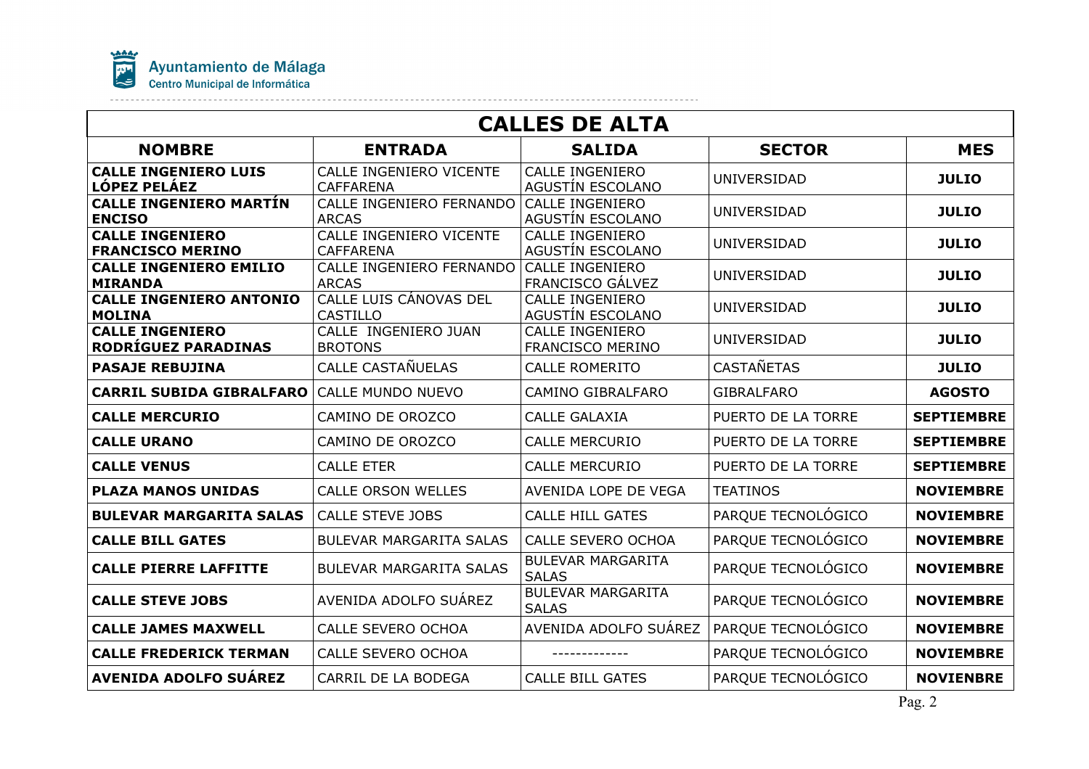

| <b>CALLES DE ALTA</b>                                |                                             |                                                   |                    |                   |  |  |  |
|------------------------------------------------------|---------------------------------------------|---------------------------------------------------|--------------------|-------------------|--|--|--|
| <b>NOMBRE</b>                                        | <b>ENTRADA</b>                              | <b>SALIDA</b>                                     | <b>SECTOR</b>      | <b>MES</b>        |  |  |  |
| <b>CALLE INGENIERO LUIS</b><br><b>LÓPEZ PELÁEZ</b>   | CALLE INGENIERO VICENTE<br><b>CAFFARENA</b> | <b>CALLE INGENIERO</b><br>AGUSTÍN ESCOLANO        | UNIVERSIDAD        | <b>JULIO</b>      |  |  |  |
| <b>CALLE INGENIERO MARTÍN</b><br><b>ENCISO</b>       | CALLE INGENIERO FERNANDO<br><b>ARCAS</b>    | <b>CALLE INGENIERO</b><br>AGUSTÍN ESCOLANO        | UNIVERSIDAD        | <b>JULIO</b>      |  |  |  |
| <b>CALLE INGENIERO</b><br><b>FRANCISCO MERINO</b>    | CALLE INGENIERO VICENTE<br><b>CAFFARENA</b> | <b>CALLE INGENIERO</b><br>AGUSTÍN ESCOLANO        | UNIVERSIDAD        | <b>JULIO</b>      |  |  |  |
| <b>CALLE INGENIERO EMILIO</b><br><b>MIRANDA</b>      | CALLE INGENIERO FERNANDO<br><b>ARCAS</b>    | <b>CALLE INGENIERO</b><br>FRANCISCO GÁLVEZ        | UNIVERSIDAD        | <b>JULIO</b>      |  |  |  |
| <b>CALLE INGENIERO ANTONIO</b><br><b>MOLINA</b>      | CALLE LUIS CÁNOVAS DEL<br><b>CASTILLO</b>   | <b>CALLE INGENIERO</b><br>AGUSTÍN ESCOLANO        | UNIVERSIDAD        | <b>JULIO</b>      |  |  |  |
| <b>CALLE INGENIERO</b><br><b>RODRÍGUEZ PARADINAS</b> | CALLE INGENIERO JUAN<br><b>BROTONS</b>      | <b>CALLE INGENIERO</b><br><b>FRANCISCO MERINO</b> | UNIVERSIDAD        | <b>JULIO</b>      |  |  |  |
| <b>PASAJE REBUJINA</b>                               | <b>CALLE CASTAÑUELAS</b>                    | <b>CALLE ROMERITO</b>                             | <b>CASTAÑETAS</b>  | <b>JULIO</b>      |  |  |  |
| <b>CARRIL SUBIDA GIBRALFARO</b>                      | <b>CALLE MUNDO NUEVO</b>                    | <b>CAMINO GIBRALFARO</b>                          | <b>GIBRALFARO</b>  | <b>AGOSTO</b>     |  |  |  |
| <b>CALLE MERCURIO</b>                                | CAMINO DE OROZCO                            | <b>CALLE GALAXIA</b>                              | PUERTO DE LA TORRE | <b>SEPTIEMBRE</b> |  |  |  |
| <b>CALLE URANO</b>                                   | CAMINO DE OROZCO                            | <b>CALLE MERCURIO</b>                             | PUERTO DE LA TORRE | <b>SEPTIEMBRE</b> |  |  |  |
| <b>CALLE VENUS</b>                                   | <b>CALLE ETER</b>                           | <b>CALLE MERCURIO</b>                             | PUERTO DE LA TORRE | <b>SEPTIEMBRE</b> |  |  |  |
| <b>PLAZA MANOS UNIDAS</b>                            | <b>CALLE ORSON WELLES</b>                   | AVENIDA LOPE DE VEGA                              | <b>TEATINOS</b>    | <b>NOVIEMBRE</b>  |  |  |  |
| <b>BULEVAR MARGARITA SALAS</b>                       | <b>CALLE STEVE JOBS</b>                     | <b>CALLE HILL GATES</b>                           | PARQUE TECNOLÓGICO | <b>NOVIEMBRE</b>  |  |  |  |
| <b>CALLE BILL GATES</b>                              | <b>BULEVAR MARGARITA SALAS</b>              | CALLE SEVERO OCHOA                                | PARQUE TECNOLÓGICO | <b>NOVIEMBRE</b>  |  |  |  |
| <b>CALLE PIERRE LAFFITTE</b>                         | <b>BULEVAR MARGARITA SALAS</b>              | <b>BULEVAR MARGARITA</b><br><b>SALAS</b>          | PARQUE TECNOLÓGICO | <b>NOVIEMBRE</b>  |  |  |  |
| <b>CALLE STEVE JOBS</b>                              | AVENIDA ADOLFO SUÁREZ                       | <b>BULEVAR MARGARITA</b><br><b>SALAS</b>          | PARQUE TECNOLÓGICO | <b>NOVIEMBRE</b>  |  |  |  |
| <b>CALLE JAMES MAXWELL</b>                           | CALLE SEVERO OCHOA                          | AVENIDA ADOLFO SUÁREZ                             | PARQUE TECNOLÓGICO | <b>NOVIEMBRE</b>  |  |  |  |
| <b>CALLE FREDERICK TERMAN</b>                        | CALLE SEVERO OCHOA                          |                                                   | PARQUE TECNOLÓGICO | <b>NOVIEMBRE</b>  |  |  |  |
| <b>AVENIDA ADOLFO SUÁREZ</b>                         | <b>CARRIL DE LA BODEGA</b>                  | <b>CALLE BILL GATES</b>                           | PARQUE TECNOLÓGICO | <b>NOVIENBRE</b>  |  |  |  |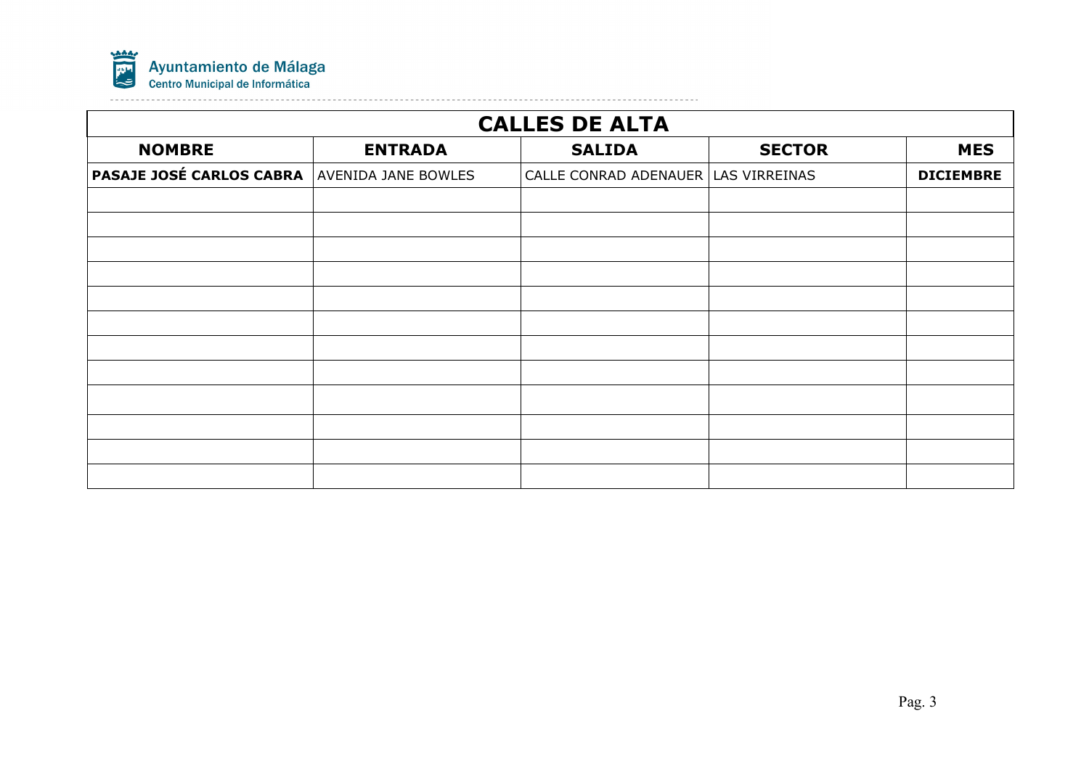

| <b>CALLES DE ALTA</b>                        |                |                                       |               |                  |  |  |  |
|----------------------------------------------|----------------|---------------------------------------|---------------|------------------|--|--|--|
| <b>NOMBRE</b>                                | <b>ENTRADA</b> | <b>SALIDA</b>                         | <b>SECTOR</b> | <b>MES</b>       |  |  |  |
| PASAJE JOSÉ CARLOS CABRA AVENIDA JANE BOWLES |                | CALLE CONRAD ADENAUER   LAS VIRREINAS |               | <b>DICIEMBRE</b> |  |  |  |
|                                              |                |                                       |               |                  |  |  |  |
|                                              |                |                                       |               |                  |  |  |  |
|                                              |                |                                       |               |                  |  |  |  |
|                                              |                |                                       |               |                  |  |  |  |
|                                              |                |                                       |               |                  |  |  |  |
|                                              |                |                                       |               |                  |  |  |  |
|                                              |                |                                       |               |                  |  |  |  |
|                                              |                |                                       |               |                  |  |  |  |
|                                              |                |                                       |               |                  |  |  |  |
|                                              |                |                                       |               |                  |  |  |  |
|                                              |                |                                       |               |                  |  |  |  |
|                                              |                |                                       |               |                  |  |  |  |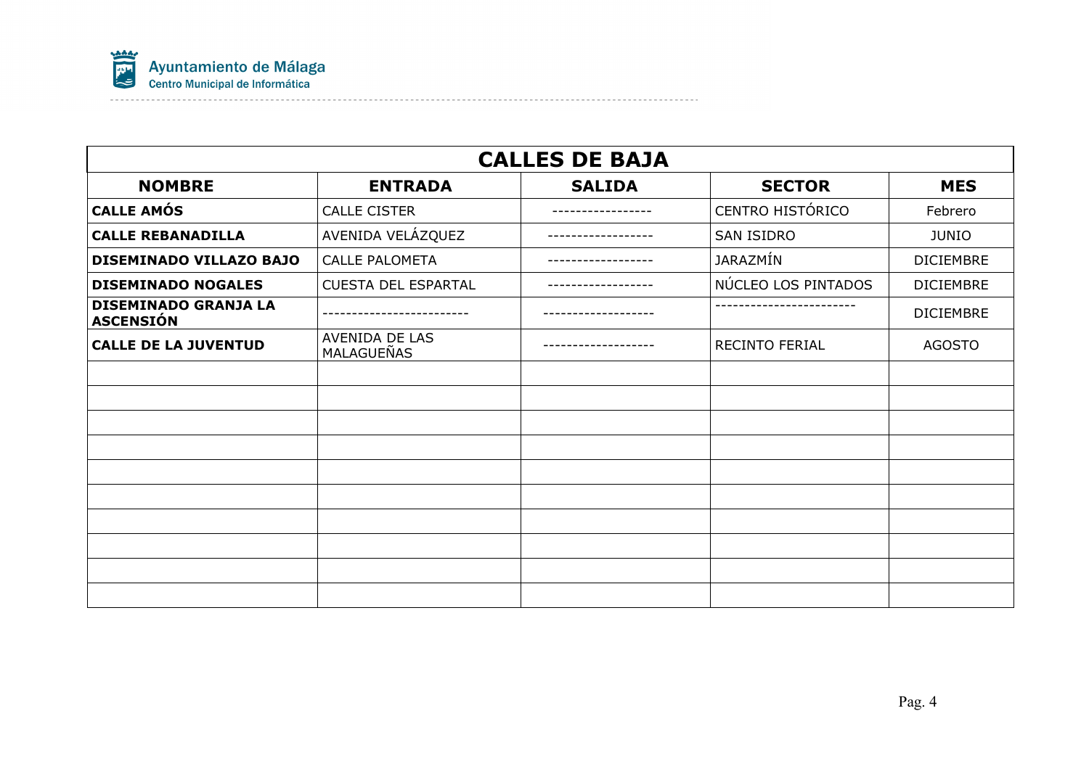

| <b>CALLES DE BAJA</b>                           |                              |               |                         |                  |  |  |  |
|-------------------------------------------------|------------------------------|---------------|-------------------------|------------------|--|--|--|
| <b>NOMBRE</b>                                   | <b>ENTRADA</b>               | <b>SALIDA</b> | <b>SECTOR</b>           | <b>MES</b>       |  |  |  |
| <b>CALLE AMÓS</b>                               | <b>CALLE CISTER</b>          |               | <b>CENTRO HISTÓRICO</b> | Febrero          |  |  |  |
| <b>CALLE REBANADILLA</b>                        | AVENIDA VELÁZQUEZ            |               | SAN ISIDRO              | <b>JUNIO</b>     |  |  |  |
| DISEMINADO VILLAZO BAJO                         | <b>CALLE PALOMETA</b>        |               | <b>JARAZMÍN</b>         | <b>DICIEMBRE</b> |  |  |  |
| <b>DISEMINADO NOGALES</b>                       | <b>CUESTA DEL ESPARTAL</b>   |               | NÚCLEO LOS PINTADOS     | <b>DICIEMBRE</b> |  |  |  |
| <b>DISEMINADO GRANJA LA</b><br><b>ASCENSIÓN</b> |                              |               | --------------------    | <b>DICIEMBRE</b> |  |  |  |
| <b>CALLE DE LA JUVENTUD</b>                     | AVENIDA DE LAS<br>MALAGUEÑAS |               | <b>RECINTO FERIAL</b>   | <b>AGOSTO</b>    |  |  |  |
|                                                 |                              |               |                         |                  |  |  |  |
|                                                 |                              |               |                         |                  |  |  |  |
|                                                 |                              |               |                         |                  |  |  |  |
|                                                 |                              |               |                         |                  |  |  |  |
|                                                 |                              |               |                         |                  |  |  |  |
|                                                 |                              |               |                         |                  |  |  |  |
|                                                 |                              |               |                         |                  |  |  |  |
|                                                 |                              |               |                         |                  |  |  |  |
|                                                 |                              |               |                         |                  |  |  |  |
|                                                 |                              |               |                         |                  |  |  |  |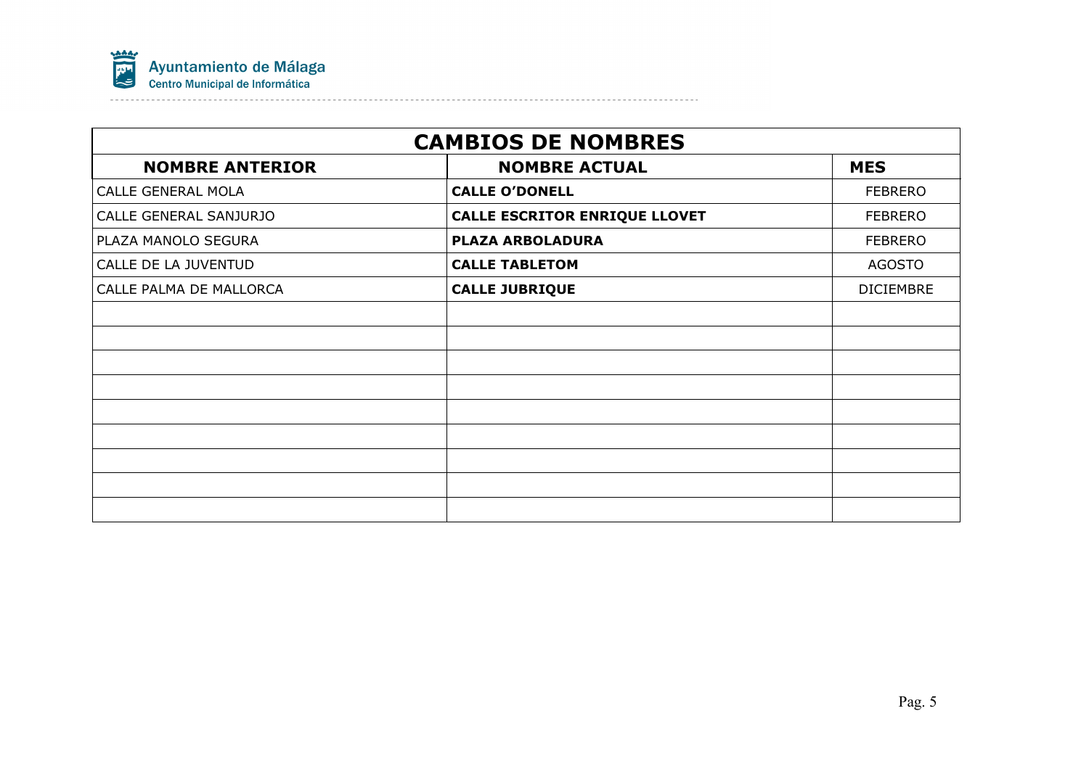

| <b>CAMBIOS DE NOMBRES</b> |                                      |                  |  |  |  |
|---------------------------|--------------------------------------|------------------|--|--|--|
| <b>NOMBRE ANTERIOR</b>    | <b>NOMBRE ACTUAL</b>                 | <b>MES</b>       |  |  |  |
| <b>CALLE GENERAL MOLA</b> | <b>CALLE O'DONELL</b>                | <b>FEBRERO</b>   |  |  |  |
| CALLE GENERAL SANJURJO    | <b>CALLE ESCRITOR ENRIQUE LLOVET</b> | <b>FEBRERO</b>   |  |  |  |
| PLAZA MANOLO SEGURA       | <b>PLAZA ARBOLADURA</b>              | <b>FEBRERO</b>   |  |  |  |
| CALLE DE LA JUVENTUD      | <b>CALLE TABLETOM</b>                | <b>AGOSTO</b>    |  |  |  |
| CALLE PALMA DE MALLORCA   | <b>CALLE JUBRIQUE</b>                | <b>DICIEMBRE</b> |  |  |  |
|                           |                                      |                  |  |  |  |
|                           |                                      |                  |  |  |  |
|                           |                                      |                  |  |  |  |
|                           |                                      |                  |  |  |  |
|                           |                                      |                  |  |  |  |
|                           |                                      |                  |  |  |  |
|                           |                                      |                  |  |  |  |
|                           |                                      |                  |  |  |  |
|                           |                                      |                  |  |  |  |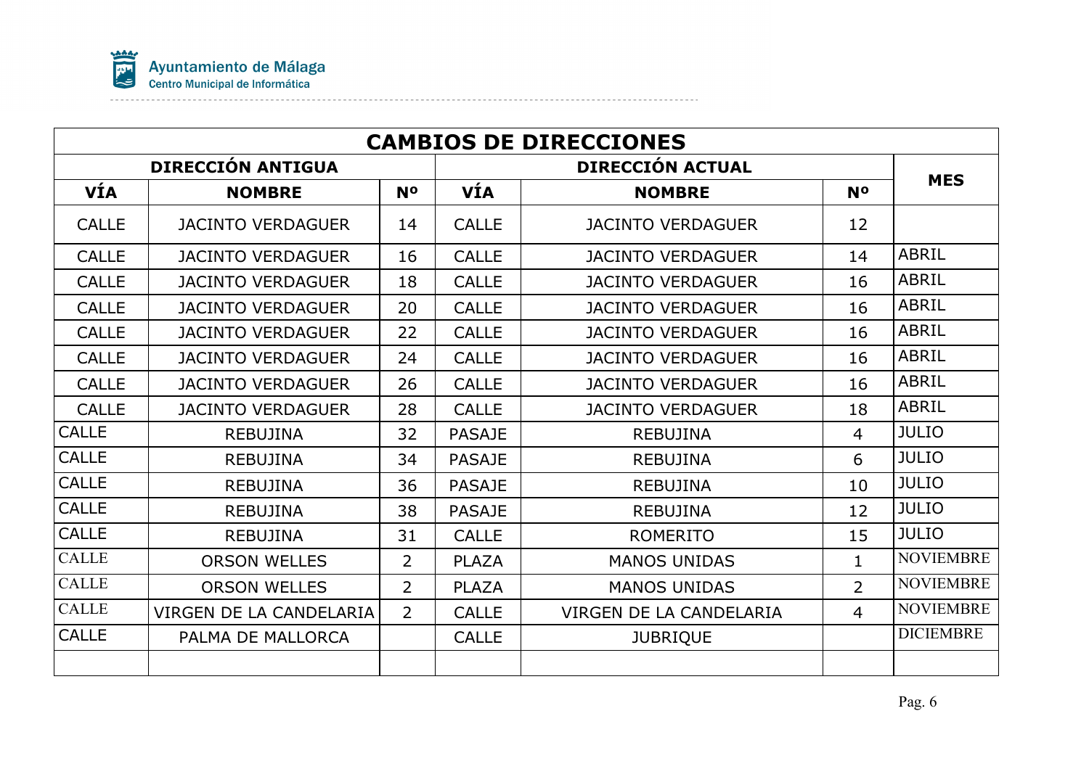

| <b>CAMBIOS DE DIRECCIONES</b> |                          |                |               |                                |                |                  |  |
|-------------------------------|--------------------------|----------------|---------------|--------------------------------|----------------|------------------|--|
|                               | <b>DIRECCIÓN ANTIGUA</b> |                |               |                                |                |                  |  |
| VÍA                           | <b>NOMBRE</b>            | <b>No</b>      | VÍA           | <b>NOMBRE</b>                  |                | <b>MES</b>       |  |
| <b>CALLE</b>                  | <b>JACINTO VERDAGUER</b> | 14             | <b>CALLE</b>  | <b>JACINTO VERDAGUER</b>       | 12             |                  |  |
| <b>CALLE</b>                  | <b>JACINTO VERDAGUER</b> | 16             | <b>CALLE</b>  | <b>JACINTO VERDAGUER</b>       | 14             | <b>ABRIL</b>     |  |
| <b>CALLE</b>                  | <b>JACINTO VERDAGUER</b> | 18             | <b>CALLE</b>  | <b>JACINTO VERDAGUER</b>       | 16             | <b>ABRIL</b>     |  |
| <b>CALLE</b>                  | <b>JACINTO VERDAGUER</b> | 20             | <b>CALLE</b>  | <b>JACINTO VERDAGUER</b>       | 16             | <b>ABRIL</b>     |  |
| <b>CALLE</b>                  | <b>JACINTO VERDAGUER</b> | 22             | <b>CALLE</b>  | <b>JACINTO VERDAGUER</b>       | 16             | <b>ABRIL</b>     |  |
| <b>CALLE</b>                  | <b>JACINTO VERDAGUER</b> | 24             | <b>CALLE</b>  | <b>JACINTO VERDAGUER</b>       | 16             | <b>ABRIL</b>     |  |
| <b>CALLE</b>                  | <b>JACINTO VERDAGUER</b> | 26             | <b>CALLE</b>  | <b>JACINTO VERDAGUER</b>       | 16             | <b>ABRIL</b>     |  |
| <b>CALLE</b>                  | <b>JACINTO VERDAGUER</b> | 28             | <b>CALLE</b>  | <b>JACINTO VERDAGUER</b>       | 18             | <b>ABRIL</b>     |  |
| <b>CALLE</b>                  | <b>REBUJINA</b>          | 32             | <b>PASAJE</b> | <b>REBUJINA</b>                | $\overline{4}$ | <b>JULIO</b>     |  |
| <b>CALLE</b>                  | <b>REBUJINA</b>          | 34             | <b>PASAJE</b> | <b>REBUJINA</b>                | 6              | <b>JULIO</b>     |  |
| <b>CALLE</b>                  | <b>REBUJINA</b>          | 36             | <b>PASAJE</b> | <b>REBUJINA</b>                | 10             | <b>JULIO</b>     |  |
| <b>CALLE</b>                  | <b>REBUJINA</b>          | 38             | <b>PASAJE</b> | <b>REBUJINA</b>                | 12             | <b>JULIO</b>     |  |
| <b>CALLE</b>                  | <b>REBUJINA</b>          | 31             | <b>CALLE</b>  | <b>ROMERITO</b>                | 15             | <b>JULIO</b>     |  |
| <b>CALLE</b>                  | <b>ORSON WELLES</b>      | $\overline{2}$ | <b>PLAZA</b>  | <b>MANOS UNIDAS</b>            | $\mathbf{1}$   | <b>NOVIEMBRE</b> |  |
| <b>CALLE</b>                  | <b>ORSON WELLES</b>      | $\overline{2}$ | <b>PLAZA</b>  | <b>MANOS UNIDAS</b>            | $\overline{2}$ | <b>NOVIEMBRE</b> |  |
| <b>CALLE</b>                  | VIRGEN DE LA CANDELARIA  | $\overline{2}$ | <b>CALLE</b>  | <b>VIRGEN DE LA CANDELARIA</b> | $\overline{4}$ | <b>NOVIEMBRE</b> |  |
| <b>CALLE</b>                  | PALMA DE MALLORCA        |                | <b>CALLE</b>  | <b>JUBRIQUE</b>                |                | <b>DICIEMBRE</b> |  |
|                               |                          |                |               |                                |                |                  |  |